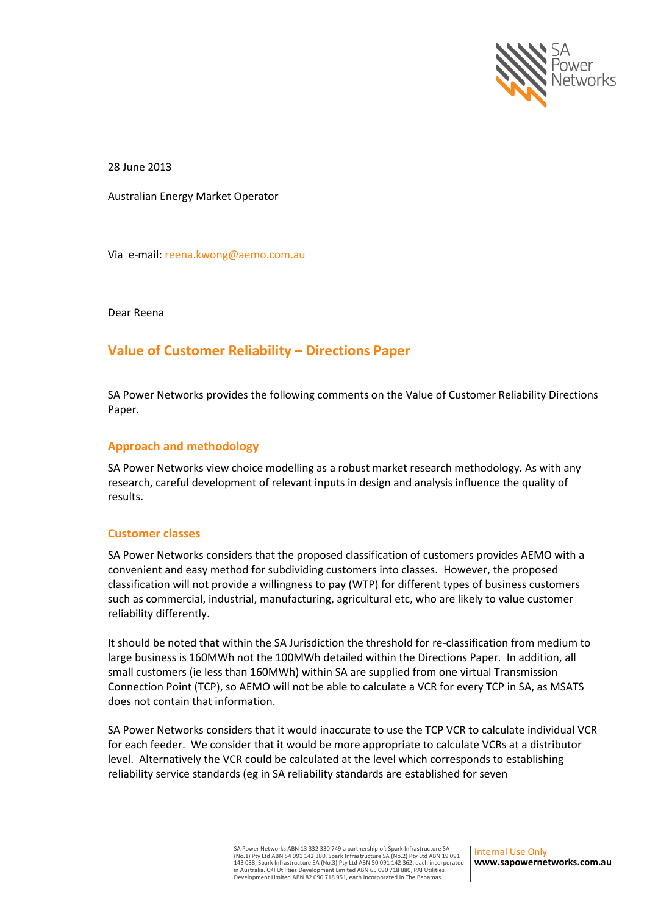

28 June 2013

Australian Energy Market Operator

Via e-mail[: reena.kwong@aemo.com.au](mailto:reena.kwong@aemo.com.au)

Dear Reena

## **Value of Customer Reliability – Directions Paper**

SA Power Networks provides the following comments on the Value of Customer Reliability Directions Paper.

## **Approach and methodology**

SA Power Networks view choice modelling as a robust market research methodology. As with any research, careful development of relevant inputs in design and analysis influence the quality of results.

## **Customer classes**

SA Power Networks considers that the proposed classification of customers provides AEMO with a convenient and easy method for subdividing customers into classes. However, the proposed classification will not provide a willingness to pay (WTP) for different types of business customers such as commercial, industrial, manufacturing, agricultural etc, who are likely to value customer reliability differently.

It should be noted that within the SA Jurisdiction the threshold for re-classification from medium to large business is 160MWh not the 100MWh detailed within the Directions Paper. In addition, all small customers (ie less than 160MWh) within SA are supplied from one virtual Transmission Connection Point (TCP), so AEMO will not be able to calculate a VCR for every TCP in SA, as MSATS does not contain that information.

SA Power Networks considers that it would inaccurate to use the TCP VCR to calculate individual VCR for each feeder. We consider that it would be more appropriate to calculate VCRs at a distributor level. Alternatively the VCR could be calculated at the level which corresponds to establishing reliability service standards (eg in SA reliability standards are established for seven

Internal Use Only **www.sapowernetworks.com.au**